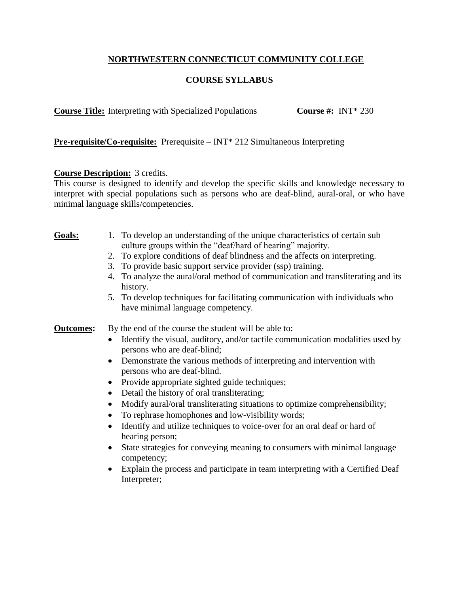# **NORTHWESTERN CONNECTICUT COMMUNITY COLLEGE**

# **COURSE SYLLABUS**

**Course Title:** Interpreting with Specialized Populations **Course #:** INT\* 230

**Pre-requisite/Co-requisite:** Prerequisite – INT\* 212 Simultaneous Interpreting

### **Course Description:** 3 credits.

This course is designed to identify and develop the specific skills and knowledge necessary to interpret with special populations such as persons who are deaf-blind, aural-oral, or who have minimal language skills/competencies.

- **Goals:** 1. To develop an understanding of the unique characteristics of certain sub culture groups within the "deaf/hard of hearing" majority.
	- 2. To explore conditions of deaf blindness and the affects on interpreting.
	- 3. To provide basic support service provider (ssp) training.
	- 4. To analyze the aural/oral method of communication and transliterating and its history.
	- 5. To develop techniques for facilitating communication with individuals who have minimal language competency.

**Outcomes:** By the end of the course the student will be able to:

- Identify the visual, auditory, and/or tactile communication modalities used by persons who are deaf-blind;
- Demonstrate the various methods of interpreting and intervention with persons who are deaf-blind.
- Provide appropriate sighted guide techniques;
- Detail the history of oral transliterating;
- Modify aural/oral transliterating situations to optimize comprehensibility;
- To rephrase homophones and low-visibility words;
- Identify and utilize techniques to voice-over for an oral deaf or hard of hearing person;
- State strategies for conveying meaning to consumers with minimal language competency;
- Explain the process and participate in team interpreting with a Certified Deaf Interpreter;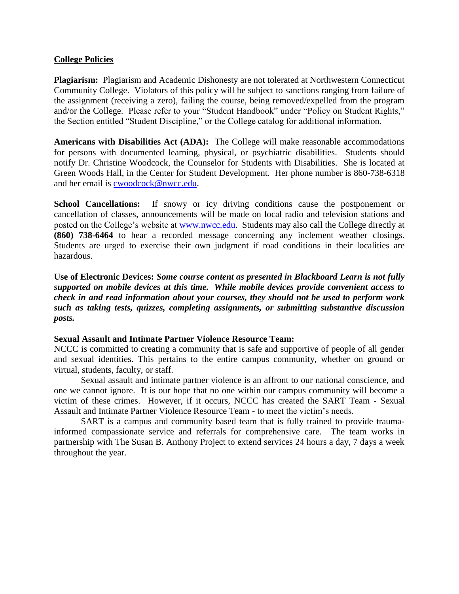### **College Policies**

**Plagiarism:** Plagiarism and Academic Dishonesty are not tolerated at Northwestern Connecticut Community College. Violators of this policy will be subject to sanctions ranging from failure of the assignment (receiving a zero), failing the course, being removed/expelled from the program and/or the College. Please refer to your "Student Handbook" under "Policy on Student Rights," the Section entitled "Student Discipline," or the College catalog for additional information.

**Americans with Disabilities Act (ADA):** The College will make reasonable accommodations for persons with documented learning, physical, or psychiatric disabilities. Students should notify Dr. Christine Woodcock, the Counselor for Students with Disabilities. She is located at Green Woods Hall, in the Center for Student Development. Her phone number is 860-738-6318 and her email is [cwoodcock@nwcc.edu.](mailto:cwoodcock@nwcc.edu)

**School Cancellations:** If snowy or icy driving conditions cause the postponement or cancellation of classes, announcements will be made on local radio and television stations and posted on the College's website at [www.nwcc.edu.](http://www.nwcc.edu/) Students may also call the College directly at **(860) 738-6464** to hear a recorded message concerning any inclement weather closings. Students are urged to exercise their own judgment if road conditions in their localities are hazardous.

**Use of Electronic Devices:** *Some course content as presented in Blackboard Learn is not fully supported on mobile devices at this time. While mobile devices provide convenient access to check in and read information about your courses, they should not be used to perform work such as taking tests, quizzes, completing assignments, or submitting substantive discussion posts.*

### **Sexual Assault and Intimate Partner Violence Resource Team:**

NCCC is committed to creating a community that is safe and supportive of people of all gender and sexual identities. This pertains to the entire campus community, whether on ground or virtual, students, faculty, or staff.

Sexual assault and intimate partner violence is an affront to our national conscience, and one we cannot ignore. It is our hope that no one within our campus community will become a victim of these crimes. However, if it occurs, NCCC has created the SART Team - Sexual Assault and Intimate Partner Violence Resource Team - to meet the victim's needs.

SART is a campus and community based team that is fully trained to provide traumainformed compassionate service and referrals for comprehensive care. The team works in partnership with The Susan B. Anthony Project to extend services 24 hours a day, 7 days a week throughout the year.